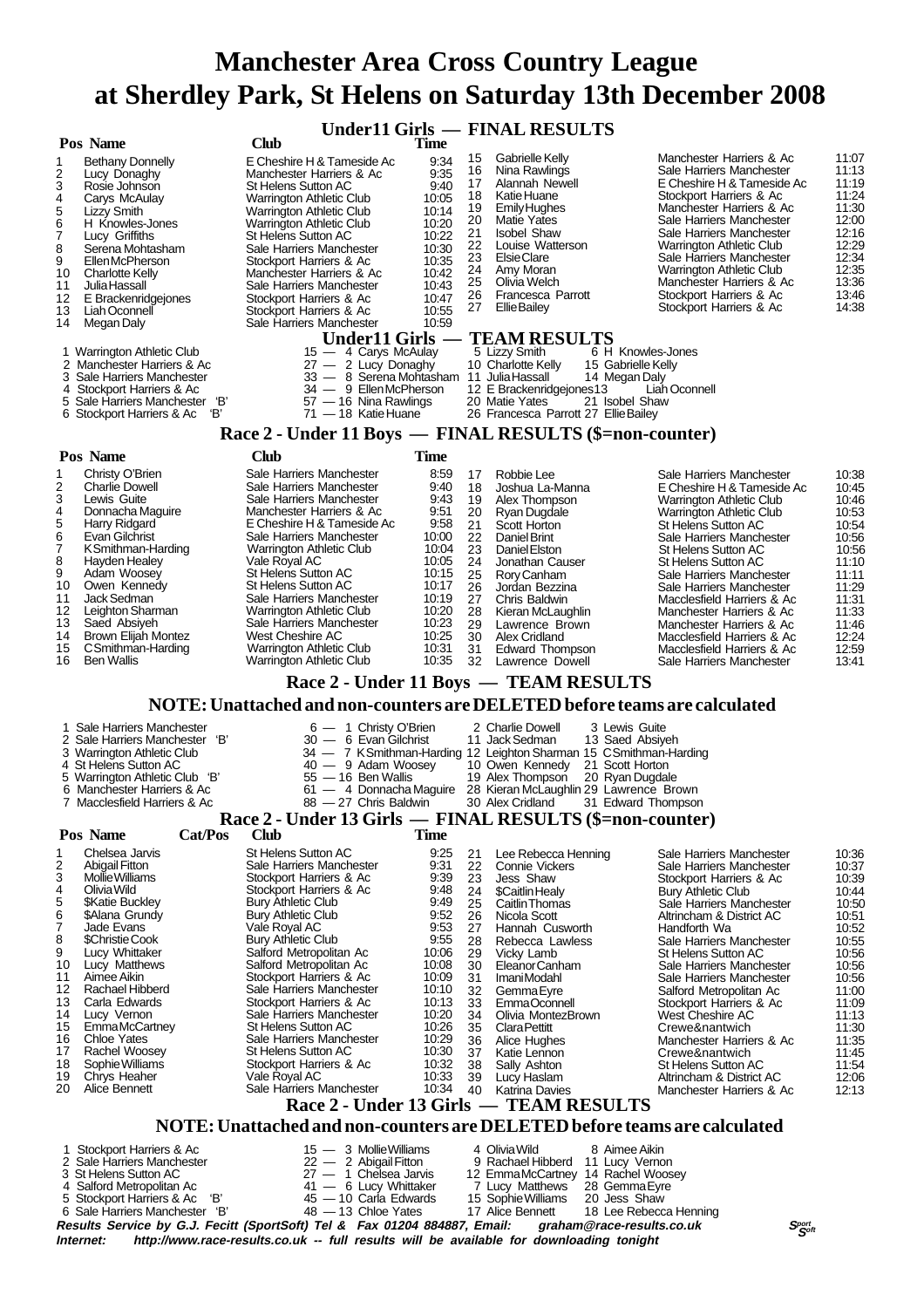**Under11 Girls — FINAL RESULTS**

|                                                                                                             | <b>Club</b>                                                       | Time           |                                                                                     |                                                                                       |                |
|-------------------------------------------------------------------------------------------------------------|-------------------------------------------------------------------|----------------|-------------------------------------------------------------------------------------|---------------------------------------------------------------------------------------|----------------|
| <b>Bethany Donnelly</b><br>1                                                                                | E Cheshire H & Tameside Ac                                        | 9:34           | 15<br>Gabrielle Kelly<br>Nina Rawlings<br>16                                        | Manchester Harriers & Ac<br>Sale Harriers Manchester                                  | 11:07<br>11:13 |
| 2<br>Lucy Donaghy<br>3<br>Rosie Johnson                                                                     | Manchester Harriers & Ac<br><b>St Helens Sutton AC</b>            | 9:35<br>9:40   | 17<br>Alannah Newell                                                                | E Cheshire H & Tameside Ac                                                            | 11:19          |
| 4<br>Carys McAulay                                                                                          | Warrington Athletic Club                                          | 10:05          | Katie Huane<br>18                                                                   | Stockport Harriers & Ac                                                               | 11:24          |
| 5<br><b>Lizzy Smith</b>                                                                                     | Warrington Athletic Club                                          | 10:14          | Emily Hughes<br>19<br>20<br><b>Matie Yates</b>                                      | Manchester Harriers & Ac<br>Sale Harriers Manchester                                  | 11:30<br>12:00 |
| 6<br>H Knowles-Jones<br>7<br>Lucy Griffiths                                                                 | Warrington Athletic Club<br>St Helens Sutton AC                   | 10:20<br>10:22 | 21<br><b>Isobel Shaw</b>                                                            | Sale Harriers Manchester                                                              | 12:16          |
| 8<br>Serena Mohtasham                                                                                       | Sale Harriers Manchester                                          | 10:30          | 22<br>Louise Watterson                                                              | Warrington Athletic Club                                                              | 12:29          |
| 9<br>Ellen McPherson                                                                                        | Stockport Harriers & Ac                                           | 10:35          | 23<br>Elsie Clare<br>24<br>Amy Moran                                                | Sale Harriers Manchester                                                              | 12:34<br>12:35 |
| 10<br><b>Charlotte Kelly</b><br>11<br>Julia Hassall                                                         | Manchester Harriers & Ac<br>Sale Harriers Manchester              | 10:42<br>10:43 | 25<br>Olivia Welch                                                                  | Warrington Athletic Club<br>Manchester Harriers & Ac                                  | 13:36          |
| 12<br>E Brackenridgejones                                                                                   | Stockport Harriers & Ac                                           | 10:47          | 26<br>Francesca Parrott                                                             | Stockport Harriers & Ac                                                               | 13:46          |
| Liah Oconnell<br>13                                                                                         | Stockport Harriers & Ac                                           | 10:55          | 27<br>Ellie Bailey                                                                  | Stockport Harriers & Ac                                                               | 14:38          |
| Megan Daly<br>14                                                                                            | Sale Harriers Manchester                                          | 10:59          |                                                                                     |                                                                                       |                |
| 1 Warrington Athletic Club                                                                                  | Under11 Girls -<br>15 - 4 Carys McAulay                           |                | <b>TEAM RESULTS</b><br>5 Lizzy Smith                                                | 6 H Knowles-Jones                                                                     |                |
| 2 Manchester Harriers & Ac                                                                                  | $27 - 2$ Lucy Donaghy                                             |                | 10 Charlotte Kelly                                                                  | 15 Gabrielle Kelly                                                                    |                |
| 3 Sale Harriers Manchester                                                                                  | 33 - 8 Serena Mohtasham 11 Julia Hassall<br>34 - 9 EllenMcPherson |                | 12 E Brackenridgejones13                                                            | 14 Megan Daly<br>Liah Oconnell                                                        |                |
| 4 Stockport Harriers & Ac<br>5 Sale Harriers Manchester 'B'                                                 | $57 - 16$ Nina Rawlings                                           |                | 20 Matie Yates                                                                      | 21 Isobel Shaw                                                                        |                |
| 6 Stockport Harriers & Ac<br>'В'                                                                            | $71 - 18$ Katie Huane                                             |                | 26 Francesca Parrott 27 EllieBailey                                                 |                                                                                       |                |
|                                                                                                             | Race 2 - Under 11 Boys — FINAL RESULTS (\$=non-counter)           |                |                                                                                     |                                                                                       |                |
| Pos Name                                                                                                    | Club                                                              | <b>Time</b>    |                                                                                     |                                                                                       |                |
| Christy O'Brien<br>1                                                                                        | Sale Harriers Manchester                                          | 8:59           | Robbie Lee<br>17                                                                    | Sale Harriers Manchester                                                              | 10:38          |
| 2<br><b>Charlie Dowell</b>                                                                                  | Sale Harriers Manchester                                          | 9:40           | 18<br>Joshua La-Manna                                                               | E Cheshire H & Tameside Ac                                                            | 10:45          |
| 3<br>Lewis Guite<br>4<br>Donnacha Maguire                                                                   | Sale Harriers Manchester<br>Manchester Harriers & Ac              | 9:43<br>9:51   | 19<br>Alex Thompson<br>20<br>Ryan Dugdale                                           | Warrington Athletic Club<br>Warrington Athletic Club                                  | 10:46<br>10:53 |
| $\overline{5}$<br>Harry Ridgard                                                                             | E Cheshire H & Tameside Ac                                        | 9:58           | 21<br>Scott Horton                                                                  | St Helens Sutton AC                                                                   | 10:54          |
| 6<br>Evan Gilchrist<br>7                                                                                    | Sale Harriers Manchester                                          | 10:00<br>10:04 | 22<br>Daniel Brint                                                                  | Sale Harriers Manchester                                                              | 10:56          |
| K Smithman-Harding<br>8<br><b>Hayden Healey</b>                                                             | Warrington Athletic Club<br>Vale Royal AC                         | 10:05          | 23<br>Daniel Elston<br>24<br>Jonathan Causer                                        | St Helens Sutton AC<br>St Helens Sutton AC                                            | 10:56<br>11:10 |
| 9<br>Adam Woosey                                                                                            | St Helens Sutton AC                                               | 10:15          | 25<br>Rory Canham                                                                   | Sale Harriers Manchester                                                              | 11:11          |
| 10<br>Owen Kennedy<br>11<br>Jack Sedman                                                                     | <b>St Helens Sutton AC</b><br>Sale Harriers Manchester            | 10:17<br>10:19 | 26<br>Jordan Bezzina<br>27<br>Chris Baldwin                                         | Sale Harriers Manchester<br>Macclesfield Harriers & Ac                                | 11:29<br>11:31 |
| 12<br>Leighton Sharman                                                                                      | Warrington Athletic Club                                          | 10:20          | 28<br>Kieran McLaughlin                                                             | Manchester Harriers & Ac                                                              | 11:33          |
| 13<br>Saed Absiyeh                                                                                          | Sale Harriers Manchester                                          | 10:23          | 29<br>Lawrence Brown                                                                | Manchester Harriers & Ac                                                              | 11:46          |
| 14<br>Brown Elijah Montez<br>15<br>C Smithman-Harding                                                       | West Cheshire AC<br><b>Warrington Athletic Club</b>               | 10:25<br>10:31 | 30<br>Alex Cridland<br>31<br><b>Edward Thompson</b>                                 | Macclesfield Harriers & Ac<br>Macclesfield Harriers & Ac                              | 12:24<br>12:59 |
| 16<br><b>Ben Wallis</b>                                                                                     | Warrington Athletic Club                                          | 10:35          | 32<br>Lawrence Dowell                                                               | Sale Harriers Manchester                                                              | 13:41          |
|                                                                                                             |                                                                   |                | Race 2 - Under 11 Boys — TEAM RESULTS                                               |                                                                                       |                |
|                                                                                                             |                                                                   |                |                                                                                     | NOTE: Unattached and non-counters are DELETED before teams are calculated             |                |
|                                                                                                             |                                                                   |                |                                                                                     |                                                                                       |                |
|                                                                                                             |                                                                   |                |                                                                                     |                                                                                       |                |
| 1 Sale Harriers Manchester                                                                                  | 6 - 1 Christy O'Brien                                             |                | 2 Charlie Dowell                                                                    | 3 Lewis Guite                                                                         |                |
| 2 Sale Harriers Manchester 'B'<br>3 Warrington Athletic Club                                                | 30 - 6 Evan Gilchrist                                             |                | 11 Jack Sedman<br>34 - 7 KSmithman-Harding 12 Leighton Sharman 15 CSmithman-Harding | 13 Saed Absiyeh                                                                       |                |
| 4 St Helens Sutton AC                                                                                       | 40 - 9 Adam Woosey                                                |                | 10 Owen Kennedy                                                                     | 21 Scott Horton                                                                       |                |
| 5 Warrington Athletic Club 'B'<br>6 Manchester Harriers & Ac                                                | $55 - 16$ Ben Wallis                                              |                | 19 Alex Thompson                                                                    | 20 Ryan Dugdale                                                                       |                |
| 7 Macclesfield Harriers & Ac                                                                                | 88 - 27 Chris Baldwin                                             |                | 61 - 4 Donnacha Maguire 28 Kieran McLaughlin 29 Lawrence Brown<br>30 Alex Cridland  | 31 Edward Thompson                                                                    |                |
|                                                                                                             | Race 2 - Under 13 Girls — FINAL RESULTS (\$=non-counter)          |                |                                                                                     |                                                                                       |                |
| Cat/Pos<br>Pos Name                                                                                         | Club                                                              | Time           |                                                                                     |                                                                                       |                |
| Chelsea Jarvis<br>1<br>2                                                                                    | <b>St Helens Sutton AC</b><br>Sale Harriers Manchester            | 9:25<br>9.31   | 21<br>Lee Rebecca Henning<br>22                                                     | Sale Harriers Manchester<br>Sale Harriers Manchester                                  | 10:36          |
| <b>Abigail Fitton</b><br>3<br>Mollie Williams                                                               | Stockport Harriers & Ac                                           | 9:39           | <b>Connie Vickers</b><br>23<br>Jess Shaw                                            | Stockport Harriers & Ac                                                               | 10:37<br>10:39 |
| Olivia Wild<br>4                                                                                            | Stockport Harriers & Ac                                           | 9:48           | 24<br>\$Caitlin Healy                                                               | <b>Bury Athletic Club</b>                                                             | 10:44          |
| 5<br><b>\$Katie Buckley</b><br>6<br>\$Alana Grundv                                                          | <b>Bury Athletic Club</b><br><b>Bury Athletic Club</b>            | 9:49<br>9:52   | 25<br>Caitlin Thomas<br>26<br>Nicola Scott                                          | Sale Harriers Manchester<br>Altrincham & District AC                                  | 10:50<br>10:51 |
| 7<br>Jade Evans                                                                                             | Vale Royal AC                                                     | 9:53           | 27<br>Hannah Cusworth                                                               | Handforth Wa                                                                          | 10:52          |
| 8<br>\$Christie Cook                                                                                        | <b>Bury Athletic Club</b>                                         | 9:55           | 28<br>Rebecca Lawless                                                               | Sale Harriers Manchester                                                              | 10:55          |
| 9<br>Lucy Whittaker<br>10<br>Lucy Matthews                                                                  | Salford Metropolitan Ac<br>Salford Metropolitan Ac                | 10:06<br>10:08 | 29<br>Vicky Lamb<br>30<br>Eleanor Canham                                            | <b>St Helens Sutton AC</b><br>Sale Harriers Manchester                                | 10:56<br>10:56 |
| Aimee Aikin<br>11                                                                                           | Stockport Harriers & Ac                                           | 10:09          | 31<br>ImaniModahl                                                                   | Sale Harriers Manchester                                                              | 10:56          |
| Rachael Hibberd<br>12<br>Carla Edwards                                                                      | Sale Harriers Manchester                                          | 10:10          | 32<br>GemmaEyre                                                                     | Salford Metropolitan Ac                                                               | 11:00          |
| 13<br>Lucy Vernon<br>14                                                                                     | Stockport Harriers & Ac<br>Sale Harriers Manchester               | 10:13<br>10:20 | 33<br>EmmaOconnell<br>34<br>Olivia MontezBrown                                      | Stockport Harriers & Ac<br>West Cheshire AC                                           | 11:09<br>11:13 |
| 15<br><b>EmmaMcCartney</b>                                                                                  | <b>St Helens Sutton AC</b>                                        | 10:26          | 35<br><b>Clara Pettitt</b>                                                          | Crewe&nantwich                                                                        | 11:30          |
| <b>Chloe Yates</b><br>16<br>Rachel Woosey<br>17                                                             | Sale Harriers Manchester<br>St Helens Sutton AC                   | 10:29<br>10:30 | 36<br>Alice Hughes<br>37<br>Katie Lennon                                            | Manchester Harriers & Ac<br>Crewe&nantwich                                            | 11:35          |
| Sophie Williams<br>18                                                                                       | Stockport Harriers & Ac                                           | 10:32          | 38<br>Sally Ashton                                                                  | St Helens Sutton AC                                                                   | 11:45<br>11:54 |
| 19<br>Chrys Heaher<br>20<br>Alice Bennett                                                                   | Vale Royal AC<br>Sale Harriers Manchester                         | 10:33<br>10:34 | 39<br>Lucy Haslam<br>40                                                             | Altrincham & District AC                                                              | 12:06          |
|                                                                                                             |                                                                   |                | <b>Katrina Davies</b>                                                               | Manchester Harriers & Ac                                                              | 12:13          |
|                                                                                                             |                                                                   |                | Race 2 - Under 13 Girls — TEAM RESULTS                                              |                                                                                       |                |
|                                                                                                             |                                                                   |                |                                                                                     | NOTE: Unattached and non-counters are DELETED before teams are calculated             |                |
| Stockport Harriers & Ac<br>2 Sale Harriers Manchester                                                       | 15 - 3 Mollie Williams<br>22 - 2 Abigail Fitton                   |                | 4 Olivia Wild<br>9 Rachael Hibberd 11 Lucy Vernon                                   | 8 Aimee Aikin                                                                         |                |
| 3 St Helens Sutton AC                                                                                       | 27 - 1 Chelsea Jarvis                                             |                | 12 EmmaMcCartney 14 Rachel Woosey                                                   |                                                                                       |                |
| Salford Metropolitan Ac<br>4<br>Stockport Harriers & Ac 'B'<br>5.                                           | 41 - 6 Lucy Whittaker<br>45 - 10 Carla Edwards                    |                | 7 Lucy Matthews<br>15 Sophie Williams                                               | 28 Gemma Eyre<br>20 Jess Shaw                                                         |                |
| 6 Sale Harriers Manchester 'B'<br>Results Service by G.J. Fecitt (SportSoft) Tel & Fax 01204 884887, Email: | 48 - 13 Chloe Yates                                               |                | 17 Alice Bennett                                                                    | 18 Lee Rebecca Henning<br>graham@race-results.co.uk<br>$S_{\mathcal{S}^{opt}}^{port}$ |                |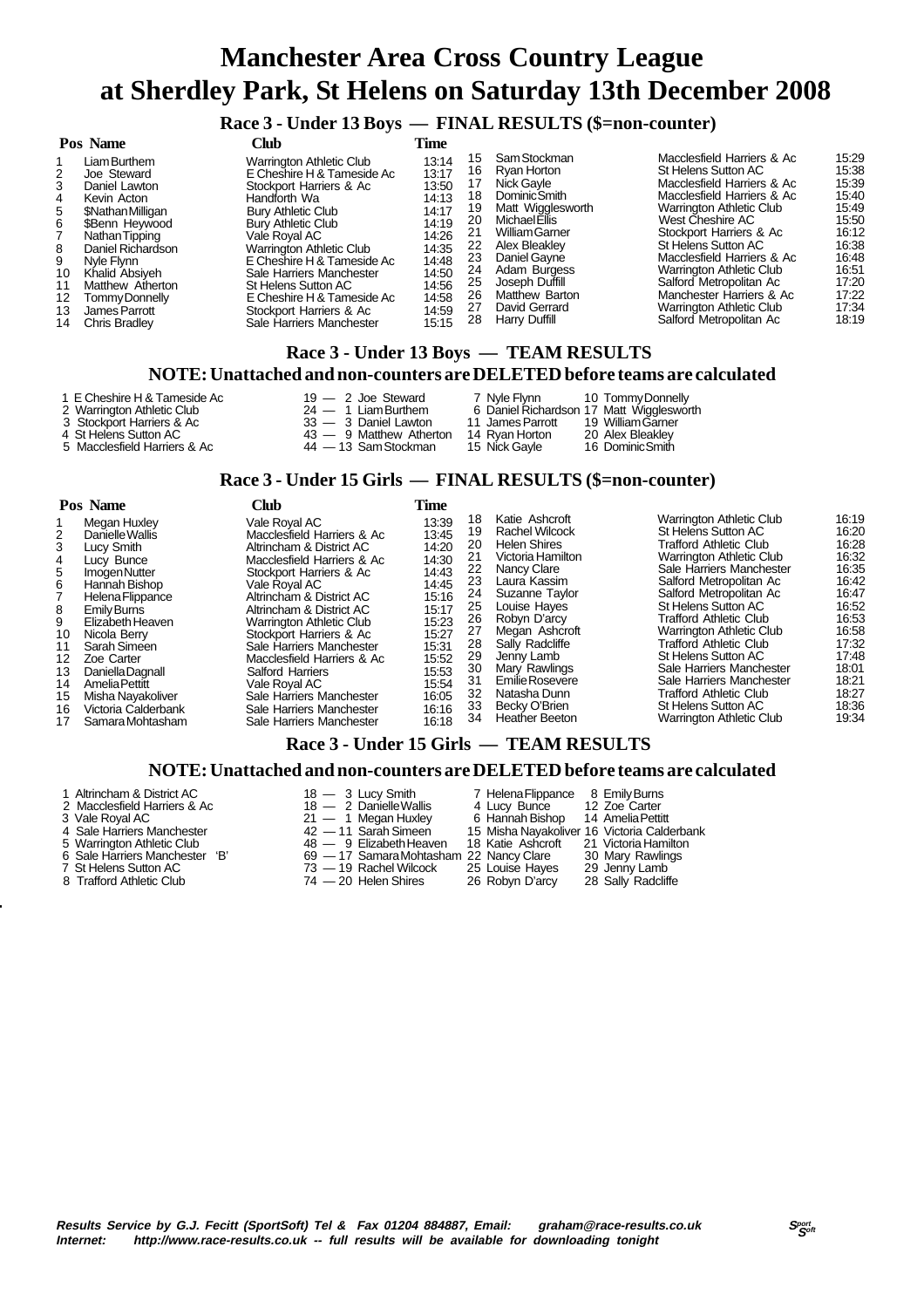### **Race 3 - Under 13 Boys — FINAL RESULTS (\$=non-counter)**

| Pos Name<br>Club                                                                                                                                                                                                                                                                                                   |                                                                                                                                                                                                                                                                                                                                                                                | Time                                                                                                                       |                                                                             |                                                                                                                                                                                                                                                         |                                                                                                                                                                                                                                                                                                                                                                                                |                                                                                                                            |
|--------------------------------------------------------------------------------------------------------------------------------------------------------------------------------------------------------------------------------------------------------------------------------------------------------------------|--------------------------------------------------------------------------------------------------------------------------------------------------------------------------------------------------------------------------------------------------------------------------------------------------------------------------------------------------------------------------------|----------------------------------------------------------------------------------------------------------------------------|-----------------------------------------------------------------------------|---------------------------------------------------------------------------------------------------------------------------------------------------------------------------------------------------------------------------------------------------------|------------------------------------------------------------------------------------------------------------------------------------------------------------------------------------------------------------------------------------------------------------------------------------------------------------------------------------------------------------------------------------------------|----------------------------------------------------------------------------------------------------------------------------|
| Liam Burthem<br>Joe Steward<br>2<br>3<br>Daniel Lawton<br>Kevin Acton<br>4<br>5<br>\$Nathan Milligan<br>\$Benn Heywood<br>6<br>Nathan Tipping<br>Daniel Richardson<br>8<br>9<br>Nyle Flynn<br>Khalid Absiveh<br>10<br>Matthew Atherton<br>11<br>12<br>Tommy Donnelly<br>James Parrott<br>13<br>Chris Bradley<br>14 | Warrington Athletic Club<br>E Cheshire H & Tameside Ac<br>Stockport Harriers & Ac<br>Handforth Wa<br><b>Bury Athletic Club</b><br>Bury Athletic Club<br>Vale Roval AC<br><b>Warrington Athletic Club</b><br>E Cheshire H & Tameside Ac<br>Sale Harriers Manchester<br>St Helens Sutton AC<br>E Cheshire H & Tameside Ac<br>Stockport Harriers & Ac<br>Sale Harriers Manchester | 13:14<br>13:17<br>13:50<br>14:13<br>14:17<br>14:19<br>14:26<br>14:35<br>14:48<br>14:50<br>14:56<br>14:58<br>14:59<br>15:15 | 15<br>16<br>18.<br>19<br>20<br>21<br>22<br>23<br>24<br>25<br>26<br>27<br>28 | Sam Stockman<br>Rvan Horton<br>Nick Gavle<br><b>Dominic Smith</b><br>Matt Wigglesworth<br>Michael Ellis<br><b>William Garner</b><br>Alex Bleakley<br>Daniel Gayne<br>Adam Burgess<br>Joseph Duffill<br>Matthew Barton<br>David Gerrard<br>Harry Duffill | Macclesfield Harriers & Ac<br>St Helens Sutton AC<br>Macclesfield Harriers & Ac<br>Macclesfield Harriers & Ac<br><b>Warrington Athletic Club</b><br>West Cheshire AC<br>Stockport Harriers & Ac<br>St Helens Sutton AC<br>Macclesfield Harriers & Ac<br>Warrington Athletic Club<br>Salford Metropolitan Ac<br>Manchester Harriers & Ac<br>Warrington Athletic Club<br>Salford Metropolitan Ac | 15:29<br>15.38<br>15:39<br>15.40<br>15:49<br>15:50<br>16:12<br>16:38<br>16:48<br>16:51<br>17:20<br>17:22<br>17:34<br>18:19 |
|                                                                                                                                                                                                                                                                                                                    |                                                                                                                                                                                                                                                                                                                                                                                |                                                                                                                            |                                                                             |                                                                                                                                                                                                                                                         |                                                                                                                                                                                                                                                                                                                                                                                                |                                                                                                                            |

#### **Race 3 - Under 13 Boys — TEAM RESULTS NOTE: Unattached and non-counters are DELETED before teams are calculated**

- 2 Warrington Athletic Club 24 1 Liam Burthem 6 Daniel Richardson 17 Matt Wigglesworth
- 3 Stockport Harriers & Ac 33 3 Daniel Lawton 11 James Parrott 19 William Garner
- 
- 5 Macclesfield Harriers & Ac
- 1 E Cheshire H & Tameside Ac 19 2 Joe Steward 7 Nyle Flynn 10 Tommy Donnelly<br>
2 Warrington Athletic Club 24 1 Liam Burthern 6 Daniel Richardson 17 Matt Wigglesword<br>
3 3 Daniel Lawton 11 James Parrott 19 William Gamer
	- -
- 4 St Helens Sutton AC 14 and 14 St Helens Sutton AC 14 Ayan Horton 20 Alex Bleakley<br>14 St Helens Sutton AC 14 13 Sam Stockman 15 Nick Gayle 16 Dominic Smith
	-

### **Race 3 - Under 15 Girls — FINAL RESULTS (\$=non-counter)**

|                                                                                 | Pos Name<br>Club                                                                                                                                                                                                                                                                                         |                                                                                                                                                                                                                                                                                                                                                                                                                                                            | Time                                                                                                                                                  |                                                                                                    |                                                                                                                                                                                                                                                                                                                       |                                                                                                                                                                                                                                                                                                                                                                                                                                                                                               |                                                                                                                                                       |
|---------------------------------------------------------------------------------|----------------------------------------------------------------------------------------------------------------------------------------------------------------------------------------------------------------------------------------------------------------------------------------------------------|------------------------------------------------------------------------------------------------------------------------------------------------------------------------------------------------------------------------------------------------------------------------------------------------------------------------------------------------------------------------------------------------------------------------------------------------------------|-------------------------------------------------------------------------------------------------------------------------------------------------------|----------------------------------------------------------------------------------------------------|-----------------------------------------------------------------------------------------------------------------------------------------------------------------------------------------------------------------------------------------------------------------------------------------------------------------------|-----------------------------------------------------------------------------------------------------------------------------------------------------------------------------------------------------------------------------------------------------------------------------------------------------------------------------------------------------------------------------------------------------------------------------------------------------------------------------------------------|-------------------------------------------------------------------------------------------------------------------------------------------------------|
| 2<br>3<br>4<br>5<br>6<br>8<br>9<br>10<br>11<br>12<br>13<br>14<br>15<br>16<br>17 | Megan Huxley<br>Danielle Wallis<br>Lucy Smith<br>Lucy Bunce<br>Imogen Nutter<br>Hannah Bishop<br>Helena Flippance<br>Emily Burns<br>Elizabeth Heaven<br>Nicola Berry<br>Sarah Simeen<br>Zoe Carter<br>Daniella Dagnall<br>Amelia Pettitt<br>Misha Nayakoliver<br>Victoria Calderbank<br>Samara Mohtasham | Vale Roval AC<br>Macclesfield Harriers & Ac<br>Altrincham & District AC<br>Macclesfield Harriers & Ac<br>Stockport Harriers & Ac<br>Vale Roval AC<br>Altrincham & District AC<br>Altrincham & District AC<br><b>Warrington Athletic Club</b><br>Stockport Harriers & Ac<br>Sale Harriers Manchester<br>Macclesfield Harriers & Ac<br>Salford Harriers<br>Vale Roval AC<br>Sale Harriers Manchester<br>Sale Harriers Manchester<br>Sale Harriers Manchester | 13:39<br>13:45<br>14:20<br>14:30<br>14:43<br>14:45<br>15:16<br>15:17<br>15:23<br>15:27<br>15:31<br>15:52<br>15:53<br>15:54<br>16:05<br>16:16<br>16:18 | 18<br>19<br>20<br>21<br>22<br>23<br>24<br>25<br>26<br>27<br>28<br>29<br>30<br>31<br>32<br>33<br>34 | Katie Ashcroft<br><b>Rachel Wilcock</b><br><b>Helen Shires</b><br>Victoria Hamilton<br>Nancy Clare<br>Laura Kassim<br>Suzanne Taylor<br>Louise Hayes<br>Robyn D'arcy<br>Megan Ashcroft<br>Sally Radcliffe<br>Jenny Lamb<br>Mary Rawlings<br>Emilie Rosevere<br>Natasha Dunn<br>Becky O'Brien<br><b>Heather Beeton</b> | <b>Warrington Athletic Club</b><br>St Helens Sutton AC<br>Trafford Athletic Club<br><b>Warrington Athletic Club</b><br>Sale Harriers Manchester<br>Salford Metropolitan Ac<br>Salford Metropolitan Ac<br><b>St Helens Sutton AC</b><br>Trafford Athletic Club<br><b>Warrington Athletic Club</b><br>Trafford Athletic Club<br>St Helens Sutton AC<br>Sale Harriers Manchester<br>Sale Harriers Manchester<br>Trafford Athletic Club<br>St Helens Sutton AC<br><b>Warrington Athletic Club</b> | 16:19<br>16:20<br>16:28<br>16:32<br>16:35<br>16:42<br>16:47<br>16:52<br>16:53<br>16.58<br>17:32<br>17:48<br>18:01<br>18:21<br>18:27<br>18:36<br>19:34 |

### **Race 3 - Under 15 Girls — TEAM RESULTS**

#### **NOTE: Unattached and non-counters are DELETED before teams are calculated**

- 1 Altrincham & District AC 18 3 Lucy Smith 7 Helena Flippance 8 Emily Burns<br>2 Macclesfield Harriers & Ac 18 2 Danielle Wallis 4 Lucy Bunce 12 Zoe Carter
- 
- 

**-**

- 
- 
- 6 Sale Harriers Manchester 'B' 69 17 Samara Mohtasham 22 Nancy Clare 30 Mary Rawlings 7 St Helens Sutton AC 73 19 Rachel Wilcock 25 Louise Hayes 29 Jenny Lamb
- 8 Trafford Athletic Club 74 20 Helen Shires 26 Robyn D'arcy 28 Sally Radcliffe
- 
- 2 Macclesfield Harriers & Ac 18 2 Danielle Wallis 3 Vale Royal AC 21 1 Megan Huxley<br>
4 Sale Harriers Manchester 42 11 Sarah Simeen
	-
- 5 Warrington Athletic Club 48 9 Elizabeth Heaven 18 Katie Ashcroft 21 Victoria Hamilton
	-
	-
	-
- 3 Vale Royal AC 21 1 Megan Huxley 6 Hannah Bishop 14 Amelia Pettitt 4 Sale Harriers Manchester 42 11 Sarah Simeen 15 Misha Nayakoliver 16 Victoria Calderbank
	- -
- -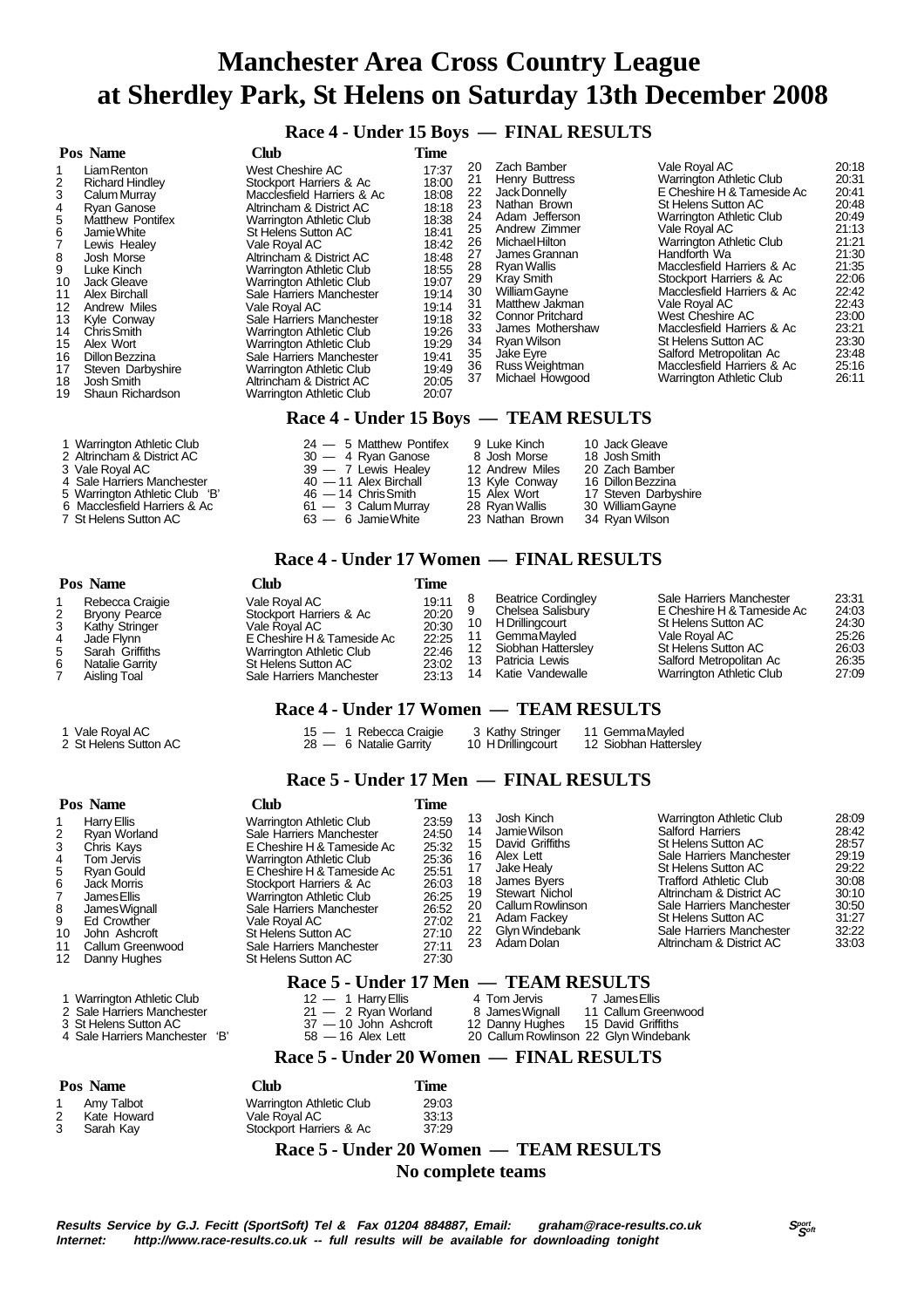**Race 4 - Under 15 Boys — FINAL RESULTS**

|                                                                                             | Pos Name                                                                                                                                                                                                                                                                                                                       | <b>Club</b>                                                                                                                                                                                                                                                                                                                                                                                                                                                                                                                                                     | Time                                                                                                                                                                    |                                                                                                          |                                                                                                                                                                                                                                                                                                                                                  |                                                                                                                                                                                                                                                                                                                                                                                                                                                                                           |                                                                                                                                                                |
|---------------------------------------------------------------------------------------------|--------------------------------------------------------------------------------------------------------------------------------------------------------------------------------------------------------------------------------------------------------------------------------------------------------------------------------|-----------------------------------------------------------------------------------------------------------------------------------------------------------------------------------------------------------------------------------------------------------------------------------------------------------------------------------------------------------------------------------------------------------------------------------------------------------------------------------------------------------------------------------------------------------------|-------------------------------------------------------------------------------------------------------------------------------------------------------------------------|----------------------------------------------------------------------------------------------------------|--------------------------------------------------------------------------------------------------------------------------------------------------------------------------------------------------------------------------------------------------------------------------------------------------------------------------------------------------|-------------------------------------------------------------------------------------------------------------------------------------------------------------------------------------------------------------------------------------------------------------------------------------------------------------------------------------------------------------------------------------------------------------------------------------------------------------------------------------------|----------------------------------------------------------------------------------------------------------------------------------------------------------------|
| 2<br>3<br>4<br>5<br>6<br>8<br>9<br>10<br>11<br>12<br>13<br>14<br>15<br>16<br>17<br>18<br>19 | Liam Renton<br><b>Richard Hindley</b><br>Calum Murray<br><b>Ryan Ganose</b><br>Matthew Pontifex<br>Jamie White<br>Lewis Healey<br>Josh Morse<br>Luke Kinch<br>Jack Gleave<br>Alex Birchall<br>Andrew Miles<br>Kyle Conway<br>Chris Smith<br>Alex Wort<br>Dillon Bezzina<br>Steven Darbyshire<br>Josh Smith<br>Shaun Richardson | West Cheshire AC<br>Stockport Harriers & Ac<br>Macclesfield Harriers & Ac<br>Altrincham & District AC<br><b>Warrington Athletic Club</b><br>St Helens Sutton AC<br>Vale Roval AC<br>Altrincham & District AC<br><b>Warrington Athletic Club</b><br><b>Warrington Athletic Club</b><br>Sale Harriers Manchester<br>Vale Roval AC<br>Sale Harriers Manchester<br><b>Warrington Athletic Club</b><br><b>Warrington Athletic Club</b><br>Sale Harriers Manchester<br><b>Warrington Athletic Club</b><br>Altrincham & District AC<br><b>Warrington Athletic Club</b> | 17:37<br>18:00<br>18:08<br>18:18<br>18:38<br>18:41<br>18:42<br>18:48<br>18:55<br>19:07<br>19:14<br>19:14<br>19:18<br>19:26<br>19:29<br>19:41<br>19:49<br>20:05<br>20:07 | 20<br>21<br>22<br>23<br>24<br>25<br>26<br>27<br>28<br>29<br>30<br>31<br>32<br>33<br>34<br>35<br>36<br>37 | Zach Bamber<br><b>Henry Buttress</b><br>Jack Donnelly<br>Nathan Brown<br>Adam Jefferson<br>Andrew Zimmer<br><b>Michael Hilton</b><br>James Grannan<br><b>Rvan Wallis</b><br>Kray Smith<br><b>William Gavne</b><br>Matthew Jakman<br><b>Connor Pritchard</b><br>James Mothershaw<br>Rvan Wilson<br>Jake Eyre<br>Russ Weightman<br>Michael Howgood | Vale Royal AC<br><b>Warrington Athletic Club</b><br>E Cheshire H & Tameside Ac<br>St Helens Sutton AC<br><b>Warrington Athletic Club</b><br>Vale Royal AC<br><b>Warrington Athletic Club</b><br>Handforth Wa<br>Macclesfield Harriers & Ac<br>Stockport Harriers & Ac<br>Macclesfield Harriers & Ac<br>Vale Roval AC<br>West Cheshire AC<br>Macclesfield Harriers & Ac<br>St Helens Sutton AC<br>Salford Metropolitan Ac<br>Macclesfield Harriers & Ac<br><b>Warrington Athletic Club</b> | 20:18<br>20:31<br>20:41<br>20:48<br>20:49<br>21:13<br>21:21<br>21:30<br>21:35<br>22:06<br>22:42<br>22:43<br>23:00<br>23:21<br>23:30<br>23:48<br>25:16<br>26:11 |
|                                                                                             |                                                                                                                                                                                                                                                                                                                                | $\mathbf{r}$ and $\mathbf{r}$                                                                                                                                                                                                                                                                                                                                                                                                                                                                                                                                   | $\rightarrow$ $\rightarrow$ $\rightarrow$                                                                                                                               |                                                                                                          | <b>THE LA F RECEIP HOL</b>                                                                                                                                                                                                                                                                                                                       |                                                                                                                                                                                                                                                                                                                                                                                                                                                                                           |                                                                                                                                                                |

#### **Race 4 - Under 15 Boys — TEAM RESULTS**

| 1 Warrington Athletic Club     | $24 - 5$ Matthew Pontifex | 9 Luke Kinch    | 10 Jack Gleave       |
|--------------------------------|---------------------------|-----------------|----------------------|
| 2 Altrincham & District AC     | 30 - 4 Ryan Ganose        | 8 Josh Morse    | 18 Josh Smith        |
| 3 Vale Royal AC                | 39 — 7 Lewis Healey       | 12 Andrew Miles | 20 Zach Bamber       |
| 4 Sale Harriers Manchester     | $40 - 11$ Alex Birchall   | 13 Kyle Conway  | 16 Dillon Bezzina    |
| 5 Warrington Athletic Club 'B' | $46 - 14$ Chris Smith     | 15 Alex Wort    | 17 Steven Darbyshire |
| 6 Macclesfield Harriers & Ac   | $61 - 3$ Calum Murray     | 28 Ryan Wallis  | 30 William Gayne     |
| 7 St Helens Sutton AC          | $63 - 6$ Jamie White      | 23 Nathan Brown | 34 Ryan Wilson       |

#### **Race 4 - Under 17 Women — FINAL RESULTS**

|   | Pos Name                                                                                                                      | <b>Club</b>                                                                                                                                                              |                                                             |                                                                                                                                               |                                                                                                                                                                              |                                                             |
|---|-------------------------------------------------------------------------------------------------------------------------------|--------------------------------------------------------------------------------------------------------------------------------------------------------------------------|-------------------------------------------------------------|-----------------------------------------------------------------------------------------------------------------------------------------------|------------------------------------------------------------------------------------------------------------------------------------------------------------------------------|-------------------------------------------------------------|
| 2 | Rebecca Craigie<br><b>Bryony Pearce</b><br>Kathy Stringer<br>Jade Flvnn<br>Sarah Griffiths<br>Natalie Garrity<br>Aisling Toal | Vale Roval AC<br>Stockport Harriers & Ac<br>Vale Roval AC .<br>E Cheshire H & Tameside Ac<br>Warrington Athletic Club<br>St Helens Sutton AC<br>Sale Harriers Manchester | 19:11<br>20:20<br>20:30<br>22:25<br>22:46<br>23:02<br>23:13 | <b>Beatrice Cordingley</b><br>Chelsea Salisbury<br>H Drillingcourt<br>GemmaMavled<br>Siobhan Hattersley<br>Patricia Lewis<br>Katie Vandewalle | Sale Harriers Manchester<br>E Cheshire H & Tameside Ac<br>St Helens Sutton AC<br>Vale Roval AC<br>St Helens Sutton AC<br>Salford Metropolitan Ac<br>Warrington Athletic Club | 23:31<br>24:03<br>24:30<br>25:26<br>26:03<br>26:35<br>27:09 |

#### **Race 4 - Under 17 Women — TEAM RESULTS**

1 Vale Royal AC 15 — 1 Rebecca Craigie 13 Kathy Stringer 11 Gemma Mayled 2 St Helens Sutton AC 28 — 6 Natalie Garrity 10 H Drillingcourt 12 Siobhan Hattersley

### **Race 5 - Under 17 Men — FINAL RESULTS**

|                                                   | Pos Name                                                                                                                                                                                                      | Club                                                                                                                                                                                                                                                                                                                                            | Time                                                                                                     |                                                          |                                                                                                                                                                                     |                                                            |                                                                                                                                                                                                                                                                                                       |                                                                                                 |
|---------------------------------------------------|---------------------------------------------------------------------------------------------------------------------------------------------------------------------------------------------------------------|-------------------------------------------------------------------------------------------------------------------------------------------------------------------------------------------------------------------------------------------------------------------------------------------------------------------------------------------------|----------------------------------------------------------------------------------------------------------|----------------------------------------------------------|-------------------------------------------------------------------------------------------------------------------------------------------------------------------------------------|------------------------------------------------------------|-------------------------------------------------------------------------------------------------------------------------------------------------------------------------------------------------------------------------------------------------------------------------------------------------------|-------------------------------------------------------------------------------------------------|
| 2<br>3<br>4<br>5<br>6<br>8<br>9<br>10<br>11<br>12 | Harry Ellis<br>Rvan Worland<br>Chris Kays<br>Tom Jervis<br><b>Ryan Gould</b><br><b>Jack Morris</b><br>James Ellis<br>James Wignall<br><b>Ed Crowther</b><br>John Ashcroft<br>Callum Greenwood<br>Danny Hughes | <b>Warrington Athletic Club</b><br>Sale Harriers Manchester<br>E Cheshire H & Tameside Ac<br><b>Warrington Athletic Club</b><br>E Cheshire H & Tameside Ac<br>Stockport Harriers & Ac<br><b>Warrington Athletic Club</b><br>Sale Harriers Manchester<br>Vale Royal AC<br>St Helens Sutton AC<br>Sale Harriers Manchester<br>St Helens Sutton AC | 23:59<br>24:50<br>25:32<br>25:36<br>25:51<br>26:03<br>26:25<br>26:52<br>27:02<br>27:10<br>27:11<br>27:30 | 13<br>14<br>15<br>16<br>18<br>19<br>20<br>21<br>22<br>23 | Josh Kinch<br>Jamie Wilson<br>David Griffiths<br>Alex Lett<br>Jake Healy<br>James Bvers<br><b>Stewart Nichol</b><br>Callum Rowlinson<br>Adam Fackey<br>Glyn Windebank<br>Adam Dolan |                                                            | <b>Warrington Athletic Club</b><br>Salford Harriers<br>St Helens Sutton AC<br>Sale Harriers Manchester<br><b>St Helens Sutton AC</b><br>Trafford Athletic Club<br>Altrincham & District AC<br>Sale Harriers Manchester<br>St Helens Sutton AC<br>Sale Harriers Manchester<br>Altrincham & District AC | 28:09<br>28:42<br>28:57<br>29:19<br>29:22<br>30:08<br>30:10<br>30.50<br>31:27<br>32:22<br>33:03 |
|                                                   |                                                                                                                                                                                                               | Race 5 - Under 17 Men — TEAM RESULTS                                                                                                                                                                                                                                                                                                            |                                                                                                          |                                                          |                                                                                                                                                                                     |                                                            |                                                                                                                                                                                                                                                                                                       |                                                                                                 |
|                                                   | 1 Warrington Athletic Club<br>2 Sale Harriers Manchester<br>3 St Helens Sutton AC<br>'В'<br>4 Sale Harriers Manchester                                                                                        | $12 - 1$ Harry Ellis<br>$21 - 2$ Ryan Worland<br>$37 - 10$ John Ashcroft<br>$58 - 16$ Alex Lett                                                                                                                                                                                                                                                 |                                                                                                          |                                                          | 4 Tom Jervis<br>8 James Wignall<br>12 Danny Hughes<br>20 Callum Rowlinson 22 Glyn Windebank                                                                                         | 7 James Ellis<br>11 Callum Greenwood<br>15 David Griffiths |                                                                                                                                                                                                                                                                                                       |                                                                                                 |

 **Race 5 - Under 20 Women — FINAL RESULTS**

| Pos Name    | Club                     | Time  |
|-------------|--------------------------|-------|
| Amy Talbot  | Warrington Athletic Club | 29:03 |
| Kate Howard | Vale Royal AC            | 33:13 |

| 2 | Kate Howard      |
|---|------------------|
|   | <b>Cenel 1/2</b> |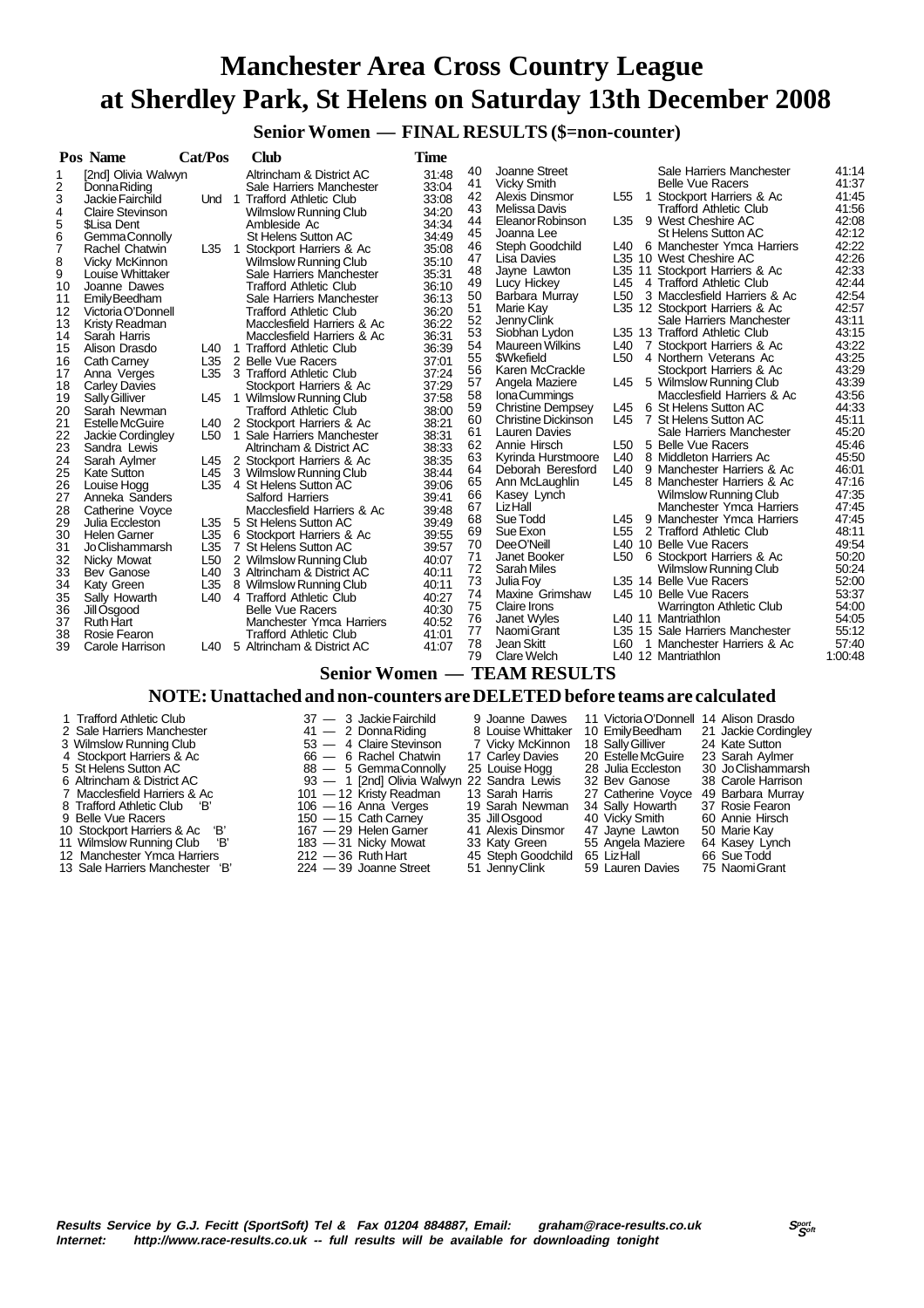**Senior Women — FINAL RESULTS (\$=non-counter)**

|          | Pos Name                           | Cat/Pos         |                | Club                                                | <b>Time</b>    |          |                                       |                 |                                                           |                |
|----------|------------------------------------|-----------------|----------------|-----------------------------------------------------|----------------|----------|---------------------------------------|-----------------|-----------------------------------------------------------|----------------|
| 1        | [2nd] Olivia Walwyn                |                 |                | Altrincham & District AC                            | 31:48          | 40       | Joanne Street                         |                 | Sale Harriers Manchester                                  | 41:14          |
| 2        | Donna Riding                       |                 |                | Sale Harriers Manchester                            | 33:04          | 41       | <b>Vicky Smith</b>                    |                 | <b>Belle Vue Racers</b>                                   | 41:37          |
| 3        | Jackie Fairchild                   |                 |                | Und 1 Trafford Athletic Club                        | 33:08          | 42       | Alexis Dinsmor                        | L <sub>55</sub> | 1 Stockport Harriers & Ac                                 | 41:45          |
| 4        | <b>Claire Stevinson</b>            |                 |                | <b>Wilmslow Running Club</b>                        | 34:20          | 43       | Melissa Davis                         |                 | <b>Trafford Athletic Club</b>                             | 41:56          |
| 5        | \$Lisa Dent                        |                 |                | Ambleside Ac                                        | 34:34          | 44       | Eleanor Robinson                      | L35             | 9 West Cheshire AC                                        | 42:08          |
| 6        | Gemma Connolly                     |                 |                | <b>St Helens Sutton AC</b>                          | 34:49          | 45       | Joanna Lee                            |                 | <b>St Helens Sutton AC</b>                                | 42:12          |
| 7        | Rachel Chatwin                     | L35             | $\overline{1}$ | Stockport Harriers & Ac                             | 35:08          | 46       | Steph Goodchild                       | L40             | 6 Manchester Ymca Harriers                                | 42:22          |
| 8        | Vicky McKinnon                     |                 |                | Wilmslow Running Club                               | 35:10          | 47       | Lisa Davies                           |                 | L35 10 West Cheshire AC                                   | 42:26          |
| 9        | Louise Whittaker                   |                 |                | Sale Harriers Manchester                            | 35:31          | 48       | Jayne Lawton                          |                 | L35 11 Stockport Harriers & Ac                            | 42:33          |
| 10       | Joanne Dawes                       |                 |                | <b>Trafford Athletic Club</b>                       | 36:10          | 49       | Lucy Hickey                           | L45             | 4 Trafford Athletic Club                                  | 42:44          |
| 11       | Emily Beedham                      |                 |                | Sale Harriers Manchester                            | 36:13          | 50       | Barbara Murray                        | L <sub>50</sub> | 3 Macclesfield Harriers & Ac                              | 42:54          |
| 12       | Victoria O'Donnell                 |                 |                | <b>Trafford Athletic Club</b>                       | 36:20          | 51       | Marie Kay                             |                 | L35 12 Stockport Harriers & Ac                            | 42:57          |
| 13       | Kristy Readman                     |                 |                | Macclesfield Harriers & Ac                          | 36:22          | 52       | Jenny Clink                           |                 | Sale Harriers Manchester                                  | 43:11          |
| 14       | Sarah Harris                       |                 |                | Macclesfield Harriers & Ac                          | 36:31          | 53       | Siobhan Lydon                         |                 | L35 13 Trafford Athletic Club                             | 43:15          |
| 15       | Alison Drasdo                      | L40             |                | 1 Trafford Athletic Club                            | 36:39          | 54       | <b>Maureen Wilkins</b>                | L40             | 7 Stockport Harriers & Ac                                 | 43:22          |
| 16       | <b>Cath Carney</b>                 | L35             |                | 2 Belle Vue Racers                                  | 37:01          | 55<br>56 | <b>\$Wkefield</b><br>Karen McCrackle  | L <sub>50</sub> | 4 Northern Veterans Ac<br>Stockport Harriers & Ac         | 43:25<br>43:29 |
| 17       | Anna Verges                        | L35             |                | 3 Trafford Athletic Club                            | 37:24          | 57       |                                       |                 |                                                           | 43:39          |
| 18       | <b>Carley Davies</b>               |                 |                | Stockport Harriers & Ac                             | 37:29          | 58       | Angela Maziere<br><b>IonaCummings</b> |                 | L45 5 Wilmslow Running Club<br>Macclesfield Harriers & Ac | 43:56          |
| 19       | <b>Sally Gilliver</b>              | L45             |                | 1 Wilmslow Running Club                             | 37:58          | 59       | <b>Christine Dempsey</b>              | L45             | 6 St Helens Sutton AC                                     | 44:33          |
| 20       | Sarah Newman                       |                 |                | <b>Trafford Athletic Club</b>                       | 38:00          | 60       | <b>Christine Dickinson</b>            | L45             | 7 St Helens Sutton AC                                     | 45:11          |
| 21       | Estelle McGuire                    | L40             |                | 2 Stockport Harriers & Ac                           | 38:21          | 61       | <b>Lauren Davies</b>                  |                 | Sale Harriers Manchester                                  | 45:20          |
| 22       | Jackie Cordingley                  | L <sub>50</sub> | 1              | Sale Harriers Manchester                            | 38:31          | 62       | Annie Hirsch                          | L <sub>50</sub> | 5 Belle Vue Racers                                        | 45:46          |
| 23       | Sandra Lewis                       |                 |                | Altrincham & District AC                            | 38:33          | 63       | Kyrinda Hurstmoore                    | L40             | 8 Middleton Harriers Ac                                   | 45:50          |
| 24       | Sarah Aylmer                       | L45             |                | 2 Stockport Harriers & Ac                           | 38:35          | 64       | Deborah Beresford                     | L40             | 9 Manchester Harriers & Ac                                | 46:01          |
| 25       | Kate Sutton                        | L45             |                | 3 Wilmslow Running Club                             | 38:44          | 65       | Ann McLaughlin                        | L45             | 8 Manchester Harriers & Ac                                | 47:16          |
| 26       | Louise Hogg                        | L35             |                | 4 St Helens Sutton AC                               | 39:06          | 66       | Kasey Lynch                           |                 | Wilmslow Running Club                                     | 47:35          |
| 27<br>28 | Anneka Sanders                     |                 |                | <b>Salford Harriers</b>                             | 39:41<br>39:48 | 67       | <b>Liz</b> Hall                       |                 | Manchester Ymca Harriers                                  | 47:45          |
| 29       | Catherine Voyce<br>Julia Eccleston | L35             |                | Macclesfield Harriers & Ac<br>5 St Helens Sutton AC | 39:49          | 68       | Sue Todd                              | L45             | 9 Manchester Ymca Harriers                                | 47:45          |
| 30       | <b>Helen Garner</b>                | L35             |                | 6 Stockport Harriers & Ac                           | 39:55          | 69       | Sue Exon                              | L <sub>55</sub> | 2 Trafford Athletic Club                                  | 48:11          |
| 31       | Jo Clishammarsh                    | L35             |                | 7 St Helens Sutton AC                               | 39:57          | 70       | DeeO'Neill                            |                 | L40 10 Belle Vue Racers                                   | 49:54          |
| 32       | Nicky Mowat                        | L <sub>50</sub> |                | 2 Wilmslow Running Club                             | 40:07          | 71       | Janet Booker                          | L50             | 6 Stockport Harriers & Ac                                 | 50:20          |
| 33       | Bev Ganose                         | L40             |                | 3 Altrincham & District AC                          | 40:11          | 72       | <b>Sarah Miles</b>                    |                 | <b>Wilmslow Running Club</b>                              | 50:24          |
| 34       | Katy Green                         | L35             |                | 8 Wilmslow Running Club                             | 40:11          | 73       | Julia Foy                             |                 | L35 14 Belle Vue Racers                                   | 52:00          |
| 35       | Sally Howarth                      | L40             |                | 4 Trafford Athletic Club                            | 40:27          | 74       | Maxine Grimshaw                       |                 | L45 10 Belle Vue Racers                                   | 53:37          |
| 36       | Jill Osgood                        |                 |                | <b>Belle Vue Racers</b>                             | 40:30          | 75       | Claire Irons                          |                 | Warrington Athletic Club                                  | 54:00          |
| 37       | <b>Ruth Hart</b>                   |                 |                | Manchester Ymca Harriers                            | 40:52          | 76       | Janet Wyles                           |                 | L <sub>40</sub> 11 Mantriathlon                           | 54:05          |
| 38       | Rosie Fearon                       |                 |                | <b>Trafford Athletic Club</b>                       | 41:01          | 77       | Naomi Grant                           |                 | L35 15 Sale Harriers Manchester                           | 55:12          |
| 39       | Carole Harrison                    | L40             |                | 5 Altrincham & District AC                          | 41:07          | 78       | Jean Skitt                            | L60             | 1 Manchester Harriers & Ac                                | 57:40          |
|          |                                    |                 |                |                                                     |                | 79       | Clare Welch                           |                 | L40 12 Mantriathlon                                       | 1:00:48        |
|          |                                    |                 |                |                                                     |                |          | <b>Senior Women — TEAM RESULTS</b>    |                 |                                                           |                |
|          |                                    | $\cdots$        |                |                                                     |                |          |                                       |                 |                                                           |                |

### **NOTE: Unattached and non-counters are DELETED before teams are calculated**

1 Trafford Athletic Club 37 - 3 Jackie Fairchild 9 Joanne Dawes 11 Victoria O'Donnell 14 Alison Drasdo<br>2 Sale Harriers Manchester 14 - 2 Donna Riding 8 Louise Whittaker 10 Emily Beedham 21 Jackie Cordingley<br>3 Wilmslow Runn 2 Sale Harriers Manchester 41 — 2 Donna Riding 8 Louise Whittaker 8 Louise Whittaker 10 Emily Beedham 21 Jackson 21 Jackie Cordinal Beedham 20 Jackie China 20 Donna Riding 8 Louise Whittaker 8 Whittaker 10 Emily Beedham 21 3 Wilmslow Running Club 53 - 4 Claire Stevinson 7 Vicky McKinnon 18 Sally Gilliver 24 Kate Sutton 3<br>4 Stockport Harriers & Ac 6 - 6 Rachel Chatwin 17 Carley Davies 20 Estelle McGuire 23 Sarah Aylmer 4 Stockport Harriers & Ac 66 — 6 Rachel Chatwin 17 Carley Davies 20 Estelle McGuire 24 Kate Sutton<br>4 Stockport Harriers & Ac 66 — 6 Rachel Chatwin 17 Carley Davies 20 Estelle McGuire 23 Sarah Aylmer<br>5 St Helens Sutton AC 8 5 St Helens Sutton AC 88 — 5 Gemma Connolly 25 Louise Hogg 28 Julia Eccleston 30 Jo Clishammarsh 6 Altrincham & District AC 93 — 1 [2nd] Olivia Walwyn 22 Sandra Lewis 32 Bev Ganose 38 Carole Harrison 7 Macclesfield Harriers & Ac 101 - 12 Kristy Readman 13 Sarah Harris 27 Catherine Voyce 49 Barbara Murray 8 Trafford Athletic Club 18 106 - 16 Anna Verges 19 Sarah Newman 34 Sally Howarth 37 Rosie Fearon 9 Belle Vue Racers 8 Trafford Athletic Club 'B' 106 — 16 Anna Verges 19 Sarah Newman 34 Sally Howarth 37 Rosie Fearon 9 Belle Vue Racers 150 — 15 Cath Carney 35 Jill Osgood 40 Vicky Smith 60 Annie Hirsch 110 Stockport Harriers & Ac 'B' 167 — 16 Cath Carney 156 Jill Osgood 140 Vicky Smith 19 Stockport Harriers & Ac 'B' 167 — 29 Helen Garner 11 Alexis Dinsmor 17 Jayne Lawton 160 Annie Hirsch 187 (187 – 29 Helen Garner 121 Al 11 Wilmslow Running Club <sup>"</sup>B' 183 — 31 Nicky Mow<br>12 Manchester Ymca Harriers 212 — 36 Ruth Hart 12 Manchester Ymca Harriers 212 — 36 Ruth Hart 45 Steph Goodchild 65 Liz Hall 66 Sue Todd<br>13 Sale Harriers Manchester 'B' 224 — 39 Joanne Street 51 Jenny Clink 59 Lauren Davies 75 Naomi Grant 13 Sale Harriers Manchester 'B'